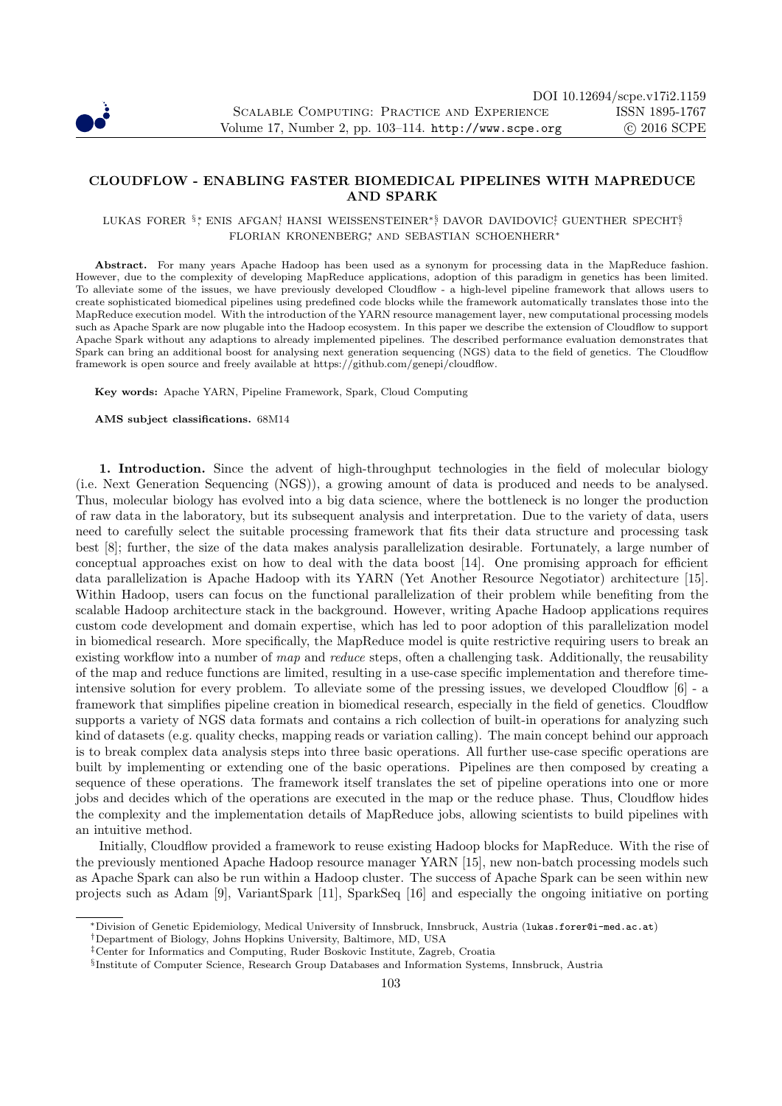

## CLOUDFLOW - ENABLING FASTER BIOMEDICAL PIPELINES WITH MAPREDUCE AND SPARK

## LUKAS FORER §\*, ENIS AFGAN! HANSI WEISSENSTEINER\*§ DAVOR DAVIDOVIC‡ GUENTHER SPECHT§ FLORIAN KRONENBERG∗, AND SEBASTIAN SCHOENHERR<sup>∗</sup>

Abstract. For many years Apache Hadoop has been used as a synonym for processing data in the MapReduce fashion. However, due to the complexity of developing MapReduce applications, adoption of this paradigm in genetics has been limited. To alleviate some of the issues, we have previously developed Cloudflow - a high-level pipeline framework that allows users to create sophisticated biomedical pipelines using predefined code blocks while the framework automatically translates those into the MapReduce execution model. With the introduction of the YARN resource management layer, new computational processing models such as Apache Spark are now plugable into the Hadoop ecosystem. In this paper we describe the extension of Cloudflow to support Apache Spark without any adaptions to already implemented pipelines. The described performance evaluation demonstrates that Spark can bring an additional boost for analysing next generation sequencing (NGS) data to the field of genetics. The Cloudflow framework is open source and freely available at https://github.com/genepi/cloudflow.

Key words: Apache YARN, Pipeline Framework, Spark, Cloud Computing

AMS subject classifications. 68M14

1. Introduction. Since the advent of high-throughput technologies in the field of molecular biology (i.e. Next Generation Sequencing (NGS)), a growing amount of data is produced and needs to be analysed. Thus, molecular biology has evolved into a big data science, where the bottleneck is no longer the production of raw data in the laboratory, but its subsequent analysis and interpretation. Due to the variety of data, users need to carefully select the suitable processing framework that fits their data structure and processing task best [8]; further, the size of the data makes analysis parallelization desirable. Fortunately, a large number of conceptual approaches exist on how to deal with the data boost [14]. One promising approach for efficient data parallelization is Apache Hadoop with its YARN (Yet Another Resource Negotiator) architecture [15]. Within Hadoop, users can focus on the functional parallelization of their problem while benefiting from the scalable Hadoop architecture stack in the background. However, writing Apache Hadoop applications requires custom code development and domain expertise, which has led to poor adoption of this parallelization model in biomedical research. More specifically, the MapReduce model is quite restrictive requiring users to break an existing workflow into a number of *map* and *reduce* steps, often a challenging task. Additionally, the reusability of the map and reduce functions are limited, resulting in a use-case specific implementation and therefore timeintensive solution for every problem. To alleviate some of the pressing issues, we developed Cloudflow [6] - a framework that simplifies pipeline creation in biomedical research, especially in the field of genetics. Cloudflow supports a variety of NGS data formats and contains a rich collection of built-in operations for analyzing such kind of datasets (e.g. quality checks, mapping reads or variation calling). The main concept behind our approach is to break complex data analysis steps into three basic operations. All further use-case specific operations are built by implementing or extending one of the basic operations. Pipelines are then composed by creating a sequence of these operations. The framework itself translates the set of pipeline operations into one or more jobs and decides which of the operations are executed in the map or the reduce phase. Thus, Cloudflow hides the complexity and the implementation details of MapReduce jobs, allowing scientists to build pipelines with an intuitive method.

Initially, Cloudflow provided a framework to reuse existing Hadoop blocks for MapReduce. With the rise of the previously mentioned Apache Hadoop resource manager YARN [15], new non-batch processing models such as Apache Spark can also be run within a Hadoop cluster. The success of Apache Spark can be seen within new projects such as Adam [9], VariantSpark [11], SparkSeq [16] and especially the ongoing initiative on porting

<sup>∗</sup>Division of Genetic Epidemiology, Medical University of Innsbruck, Innsbruck, Austria (lukas.forer@i-med.ac.at)

<sup>†</sup>Department of Biology, Johns Hopkins University, Baltimore, MD, USA

<sup>‡</sup>Center for Informatics and Computing, Ruder Boskovic Institute, Zagreb, Croatia

<sup>§</sup> Institute of Computer Science, Research Group Databases and Information Systems, Innsbruck, Austria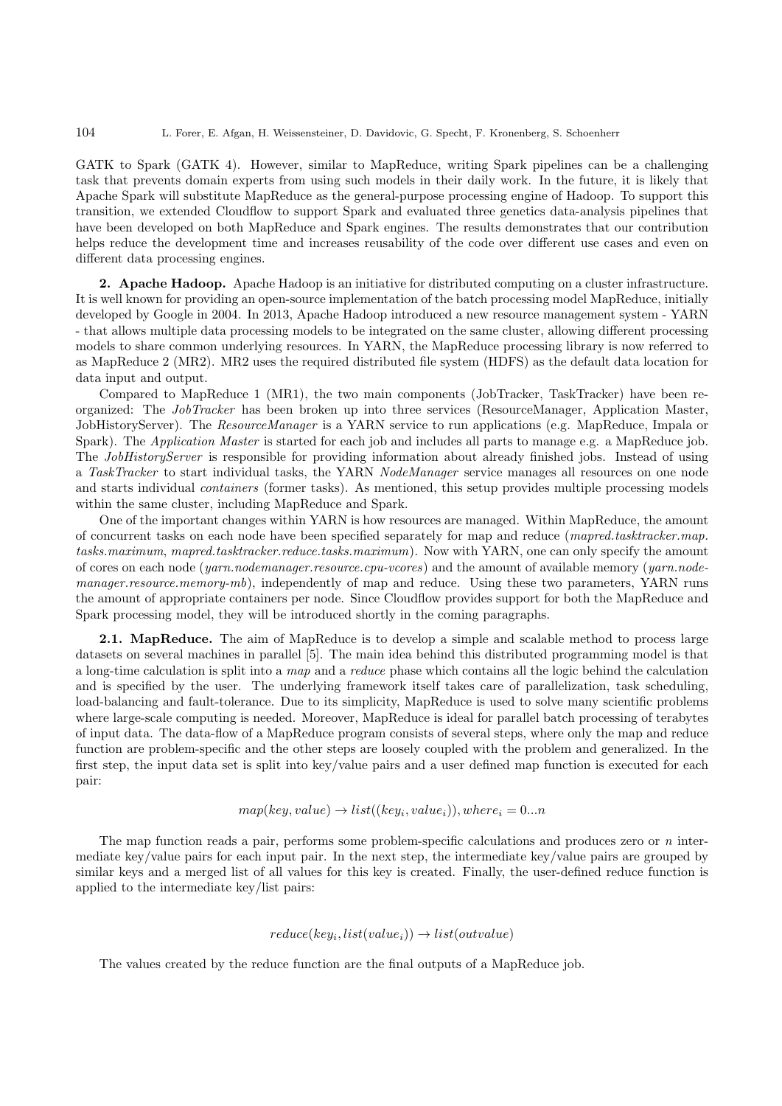GATK to Spark (GATK 4). However, similar to MapReduce, writing Spark pipelines can be a challenging task that prevents domain experts from using such models in their daily work. In the future, it is likely that Apache Spark will substitute MapReduce as the general-purpose processing engine of Hadoop. To support this transition, we extended Cloudflow to support Spark and evaluated three genetics data-analysis pipelines that have been developed on both MapReduce and Spark engines. The results demonstrates that our contribution helps reduce the development time and increases reusability of the code over different use cases and even on different data processing engines.

2. Apache Hadoop. Apache Hadoop is an initiative for distributed computing on a cluster infrastructure. It is well known for providing an open-source implementation of the batch processing model MapReduce, initially developed by Google in 2004. In 2013, Apache Hadoop introduced a new resource management system - YARN - that allows multiple data processing models to be integrated on the same cluster, allowing different processing models to share common underlying resources. In YARN, the MapReduce processing library is now referred to as MapReduce 2 (MR2). MR2 uses the required distributed file system (HDFS) as the default data location for data input and output.

Compared to MapReduce 1 (MR1), the two main components (JobTracker, TaskTracker) have been reorganized: The *JobTracker* has been broken up into three services (ResourceManager, Application Master, JobHistoryServer). The *ResourceManager* is a YARN service to run applications (e.g. MapReduce, Impala or Spark). The *Application Master* is started for each job and includes all parts to manage e.g. a MapReduce job. The *JobHistoryServer* is responsible for providing information about already finished jobs. Instead of using a *TaskTracker* to start individual tasks, the YARN *NodeManager* service manages all resources on one node and starts individual *containers* (former tasks). As mentioned, this setup provides multiple processing models within the same cluster, including MapReduce and Spark.

One of the important changes within YARN is how resources are managed. Within MapReduce, the amount of concurrent tasks on each node have been specified separately for map and reduce (*mapred.tasktracker.map. tasks.maximum*, *mapred.tasktracker.reduce.tasks.maximum*). Now with YARN, one can only specify the amount of cores on each node (*yarn.nodemanager.resource.cpu-vcores*) and the amount of available memory (*yarn.nodemanager.resource.memory-mb*), independently of map and reduce. Using these two parameters, YARN runs the amount of appropriate containers per node. Since Cloudflow provides support for both the MapReduce and Spark processing model, they will be introduced shortly in the coming paragraphs.

2.1. MapReduce. The aim of MapReduce is to develop a simple and scalable method to process large datasets on several machines in parallel [5]. The main idea behind this distributed programming model is that a long-time calculation is split into a *map* and a *reduce* phase which contains all the logic behind the calculation and is specified by the user. The underlying framework itself takes care of parallelization, task scheduling, load-balancing and fault-tolerance. Due to its simplicity, MapReduce is used to solve many scientific problems where large-scale computing is needed. Moreover, MapReduce is ideal for parallel batch processing of terabytes of input data. The data-flow of a MapReduce program consists of several steps, where only the map and reduce function are problem-specific and the other steps are loosely coupled with the problem and generalized. In the first step, the input data set is split into key/value pairs and a user defined map function is executed for each pair:

$$
map(key, value) \rightarrow list((key_i, value_i)), where_i = 0...n
$$

The map function reads a pair, performs some problem-specific calculations and produces zero or *n* intermediate key/value pairs for each input pair. In the next step, the intermediate key/value pairs are grouped by similar keys and a merged list of all values for this key is created. Finally, the user-defined reduce function is applied to the intermediate key/list pairs:

## $reduce(key_i, list(value_i)) \rightarrow list(outalue)$

The values created by the reduce function are the final outputs of a MapReduce job.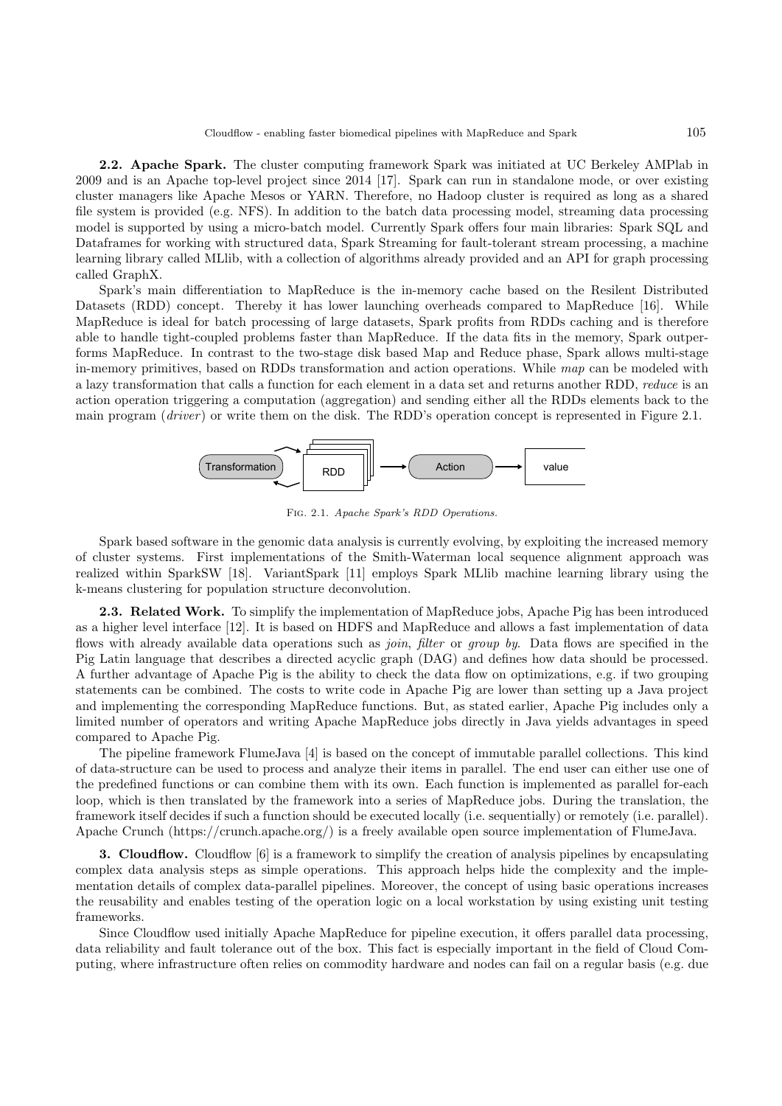2.2. Apache Spark. The cluster computing framework Spark was initiated at UC Berkeley AMPlab in 2009 and is an Apache top-level project since 2014 [17]. Spark can run in standalone mode, or over existing cluster managers like Apache Mesos or YARN. Therefore, no Hadoop cluster is required as long as a shared file system is provided (e.g. NFS). In addition to the batch data processing model, streaming data processing model is supported by using a micro-batch model. Currently Spark offers four main libraries: Spark SQL and Dataframes for working with structured data, Spark Streaming for fault-tolerant stream processing, a machine learning library called MLlib, with a collection of algorithms already provided and an API for graph processing called GraphX.

Spark's main differentiation to MapReduce is the in-memory cache based on the Resilent Distributed Datasets (RDD) concept. Thereby it has lower launching overheads compared to MapReduce [16]. While MapReduce is ideal for batch processing of large datasets, Spark profits from RDDs caching and is therefore able to handle tight-coupled problems faster than MapReduce. If the data fits in the memory, Spark outperforms MapReduce. In contrast to the two-stage disk based Map and Reduce phase, Spark allows multi-stage in-memory primitives, based on RDDs transformation and action operations. While *map* can be modeled with a lazy transformation that calls a function for each element in a data set and returns another RDD, *reduce* is an action operation triggering a computation (aggregation) and sending either all the RDDs elements back to the main program (*driver*) or write them on the disk. The RDD's operation concept is represented in Figure 2.1.



Fig. 2.1. Apache Spark's RDD Operations.

Spark based software in the genomic data analysis is currently evolving, by exploiting the increased memory of cluster systems. First implementations of the Smith-Waterman local sequence alignment approach was realized within SparkSW [18]. VariantSpark [11] employs Spark MLlib machine learning library using the k-means clustering for population structure deconvolution.

2.3. Related Work. To simplify the implementation of MapReduce jobs, Apache Pig has been introduced as a higher level interface [12]. It is based on HDFS and MapReduce and allows a fast implementation of data flows with already available data operations such as *join*, *filter* or *group by*. Data flows are specified in the Pig Latin language that describes a directed acyclic graph (DAG) and defines how data should be processed. A further advantage of Apache Pig is the ability to check the data flow on optimizations, e.g. if two grouping statements can be combined. The costs to write code in Apache Pig are lower than setting up a Java project and implementing the corresponding MapReduce functions. But, as stated earlier, Apache Pig includes only a limited number of operators and writing Apache MapReduce jobs directly in Java yields advantages in speed compared to Apache Pig.

The pipeline framework FlumeJava [4] is based on the concept of immutable parallel collections. This kind of data-structure can be used to process and analyze their items in parallel. The end user can either use one of the predefined functions or can combine them with its own. Each function is implemented as parallel for-each loop, which is then translated by the framework into a series of MapReduce jobs. During the translation, the framework itself decides if such a function should be executed locally (i.e. sequentially) or remotely (i.e. parallel). Apache Crunch (https://crunch.apache.org/) is a freely available open source implementation of FlumeJava.

3. Cloudflow. Cloudflow [6] is a framework to simplify the creation of analysis pipelines by encapsulating complex data analysis steps as simple operations. This approach helps hide the complexity and the implementation details of complex data-parallel pipelines. Moreover, the concept of using basic operations increases the reusability and enables testing of the operation logic on a local workstation by using existing unit testing frameworks.

Since Cloudflow used initially Apache MapReduce for pipeline execution, it offers parallel data processing, data reliability and fault tolerance out of the box. This fact is especially important in the field of Cloud Computing, where infrastructure often relies on commodity hardware and nodes can fail on a regular basis (e.g. due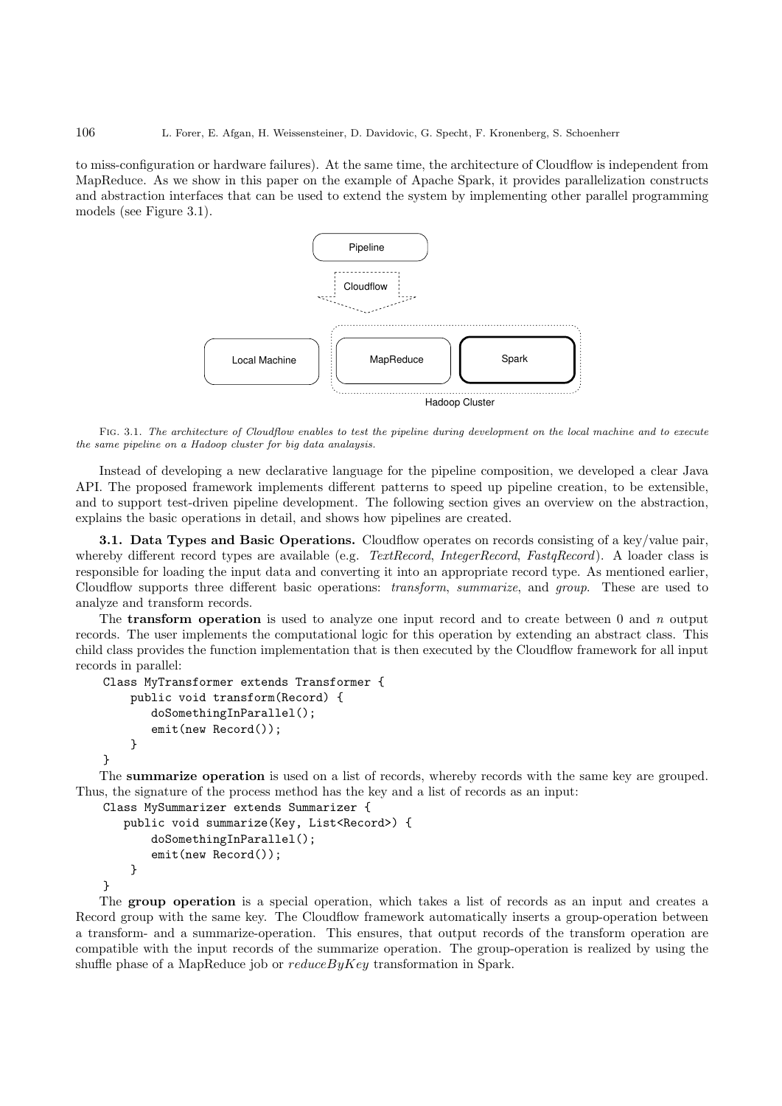to miss-configuration or hardware failures). At the same time, the architecture of Cloudflow is independent from MapReduce. As we show in this paper on the example of Apache Spark, it provides parallelization constructs and abstraction interfaces that can be used to extend the system by implementing other parallel programming models (see Figure 3.1).



Fig. 3.1. The architecture of Cloudflow enables to test the pipeline during development on the local machine and to execute the same pipeline on a Hadoop cluster for big data analaysis.

Instead of developing a new declarative language for the pipeline composition, we developed a clear Java API. The proposed framework implements different patterns to speed up pipeline creation, to be extensible, and to support test-driven pipeline development. The following section gives an overview on the abstraction, explains the basic operations in detail, and shows how pipelines are created.

3.1. Data Types and Basic Operations. Cloudflow operates on records consisting of a key/value pair, whereby different record types are available (e.g. *TextRecord*, *IntegerRecord*, *FastqRecord*). A loader class is responsible for loading the input data and converting it into an appropriate record type. As mentioned earlier, Cloudflow supports three different basic operations: *transform*, *summarize*, and *group*. These are used to analyze and transform records.

The transform operation is used to analyze one input record and to create between 0 and *n* output records. The user implements the computational logic for this operation by extending an abstract class. This child class provides the function implementation that is then executed by the Cloudflow framework for all input records in parallel:

```
Class MyTransformer extends Transformer {
    public void transform(Record) {
       doSomethingInParallel();
       emit(new Record());
    }
}
```
The summarize operation is used on a list of records, whereby records with the same key are grouped. Thus, the signature of the process method has the key and a list of records as an input:

```
Class MySummarizer extends Summarizer {
   public void summarize(Key, List<Record>) {
       doSomethingInParallel();
       emit(new Record());
    }
}
```
The group operation is a special operation, which takes a list of records as an input and creates a Record group with the same key. The Cloudflow framework automatically inserts a group-operation between a transform- and a summarize-operation. This ensures, that output records of the transform operation are compatible with the input records of the summarize operation. The group-operation is realized by using the shuffle phase of a MapReduce job or  $reduceByKey$  transformation in Spark.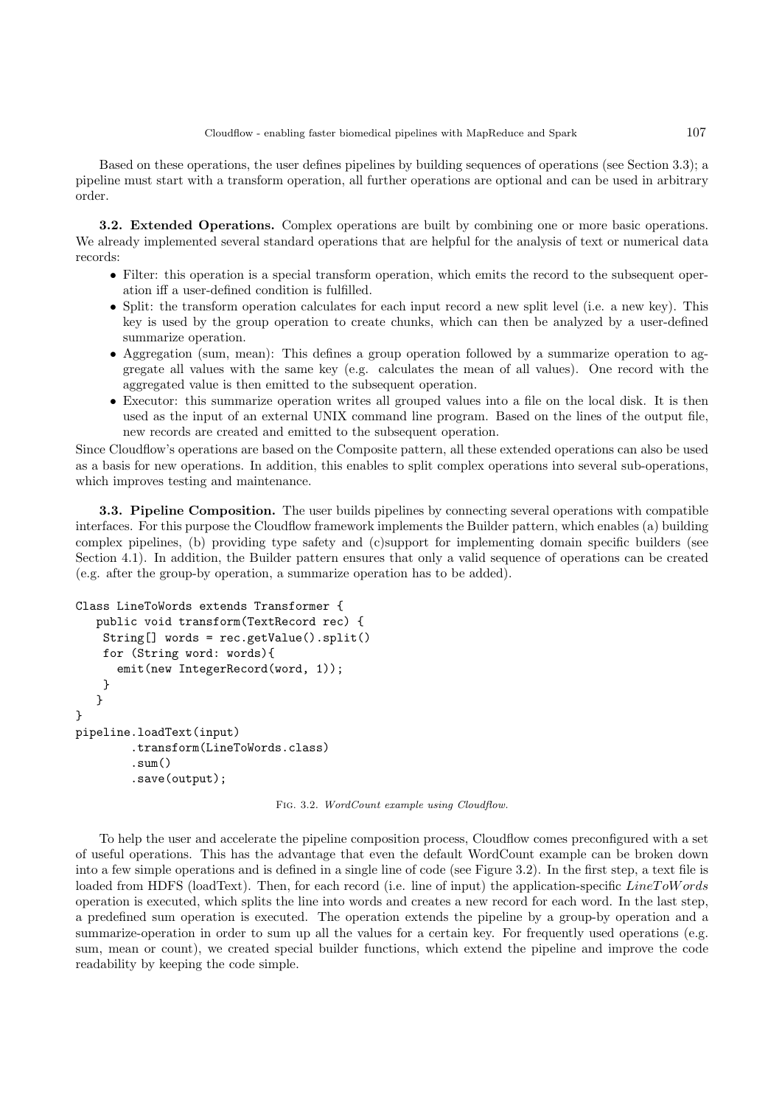Based on these operations, the user defines pipelines by building sequences of operations (see Section 3.3); a pipeline must start with a transform operation, all further operations are optional and can be used in arbitrary order.

3.2. Extended Operations. Complex operations are built by combining one or more basic operations. We already implemented several standard operations that are helpful for the analysis of text or numerical data records:

- Filter: this operation is a special transform operation, which emits the record to the subsequent operation iff a user-defined condition is fulfilled.
- Split: the transform operation calculates for each input record a new split level (i.e. a new key). This key is used by the group operation to create chunks, which can then be analyzed by a user-defined summarize operation.
- Aggregation (sum, mean): This defines a group operation followed by a summarize operation to aggregate all values with the same key (e.g. calculates the mean of all values). One record with the aggregated value is then emitted to the subsequent operation.
- Executor: this summarize operation writes all grouped values into a file on the local disk. It is then used as the input of an external UNIX command line program. Based on the lines of the output file, new records are created and emitted to the subsequent operation.

Since Cloudflow's operations are based on the Composite pattern, all these extended operations can also be used as a basis for new operations. In addition, this enables to split complex operations into several sub-operations, which improves testing and maintenance.

3.3. Pipeline Composition. The user builds pipelines by connecting several operations with compatible interfaces. For this purpose the Cloudflow framework implements the Builder pattern, which enables (a) building complex pipelines, (b) providing type safety and (c)support for implementing domain specific builders (see Section 4.1). In addition, the Builder pattern ensures that only a valid sequence of operations can be created (e.g. after the group-by operation, a summarize operation has to be added).

```
Class LineToWords extends Transformer {
  public void transform(TextRecord rec) {
    String[] words = rec.getValue().split()
    for (String word: words){
      emit(new IntegerRecord(word, 1));
    }
   }
}
pipeline.loadText(input)
        .transform(LineToWords.class)
        .sum()
        .save(output);
```
Fig. 3.2. WordCount example using Cloudflow.

To help the user and accelerate the pipeline composition process, Cloudflow comes preconfigured with a set of useful operations. This has the advantage that even the default WordCount example can be broken down into a few simple operations and is defined in a single line of code (see Figure 3.2). In the first step, a text file is loaded from HDFS (loadText). Then, for each record (i.e. line of input) the application-specific LineToW ords operation is executed, which splits the line into words and creates a new record for each word. In the last step, a predefined sum operation is executed. The operation extends the pipeline by a group-by operation and a summarize-operation in order to sum up all the values for a certain key. For frequently used operations (e.g. sum, mean or count), we created special builder functions, which extend the pipeline and improve the code readability by keeping the code simple.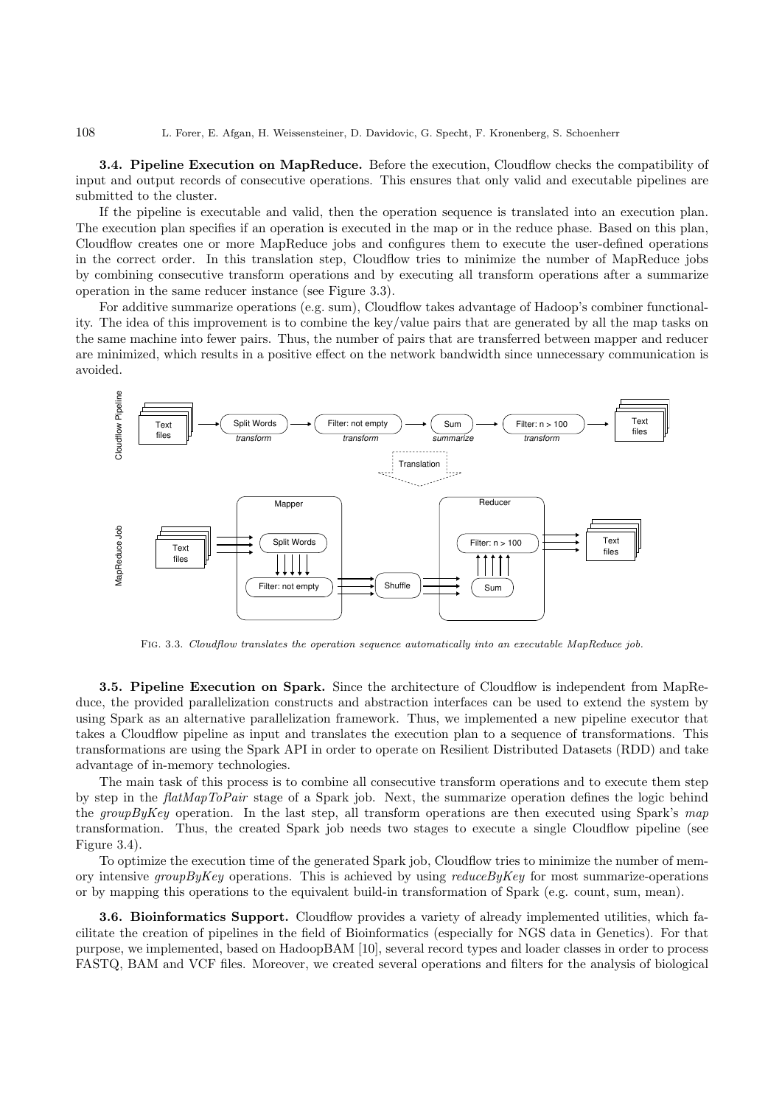3.4. Pipeline Execution on MapReduce. Before the execution, Cloudflow checks the compatibility of input and output records of consecutive operations. This ensures that only valid and executable pipelines are submitted to the cluster.

If the pipeline is executable and valid, then the operation sequence is translated into an execution plan. The execution plan specifies if an operation is executed in the map or in the reduce phase. Based on this plan, Cloudflow creates one or more MapReduce jobs and configures them to execute the user-defined operations in the correct order. In this translation step, Cloudflow tries to minimize the number of MapReduce jobs by combining consecutive transform operations and by executing all transform operations after a summarize operation in the same reducer instance (see Figure 3.3).

For additive summarize operations (e.g. sum), Cloudflow takes advantage of Hadoop's combiner functionality. The idea of this improvement is to combine the key/value pairs that are generated by all the map tasks on the same machine into fewer pairs. Thus, the number of pairs that are transferred between mapper and reducer are minimized, which results in a positive effect on the network bandwidth since unnecessary communication is avoided.



FIG. 3.3. Cloudflow translates the operation sequence automatically into an executable MapReduce job.

3.5. Pipeline Execution on Spark. Since the architecture of Cloudflow is independent from MapReduce, the provided parallelization constructs and abstraction interfaces can be used to extend the system by using Spark as an alternative parallelization framework. Thus, we implemented a new pipeline executor that takes a Cloudflow pipeline as input and translates the execution plan to a sequence of transformations. This transformations are using the Spark API in order to operate on Resilient Distributed Datasets (RDD) and take advantage of in-memory technologies.

The main task of this process is to combine all consecutive transform operations and to execute them step by step in the *flatMapToPair* stage of a Spark job. Next, the summarize operation defines the logic behind the *groupByKey* operation. In the last step, all transform operations are then executed using Spark's *map* transformation. Thus, the created Spark job needs two stages to execute a single Cloudflow pipeline (see Figure 3.4).

To optimize the execution time of the generated Spark job, Cloudflow tries to minimize the number of memory intensive *groupByKey* operations. This is achieved by using *reduceByKey* for most summarize-operations or by mapping this operations to the equivalent build-in transformation of Spark (e.g. count, sum, mean).

3.6. Bioinformatics Support. Cloudflow provides a variety of already implemented utilities, which facilitate the creation of pipelines in the field of Bioinformatics (especially for NGS data in Genetics). For that purpose, we implemented, based on HadoopBAM [10], several record types and loader classes in order to process FASTQ, BAM and VCF files. Moreover, we created several operations and filters for the analysis of biological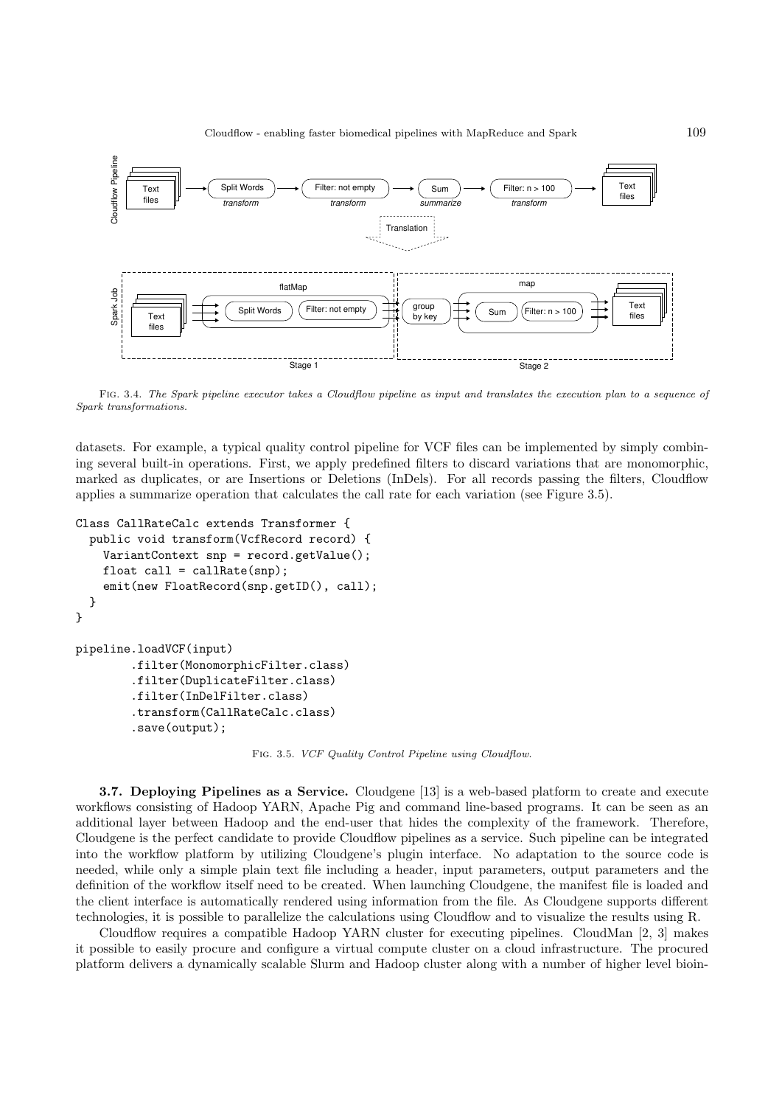

Fig. 3.4. The Spark pipeline executor takes a Cloudflow pipeline as input and translates the execution plan to a sequence of Spark transformations.

datasets. For example, a typical quality control pipeline for VCF files can be implemented by simply combining several built-in operations. First, we apply predefined filters to discard variations that are monomorphic, marked as duplicates, or are Insertions or Deletions (InDels). For all records passing the filters, Cloudflow applies a summarize operation that calculates the call rate for each variation (see Figure 3.5).

```
Class CallRateCalc extends Transformer {
  public void transform(VcfRecord record) {
   VariantContext snp = record.getValue();
    float call = callRate(snp);emit(new FloatRecord(snp.getID(), call);
  }
}
pipeline.loadVCF(input)
        .filter(MonomorphicFilter.class)
        .filter(DuplicateFilter.class)
        .filter(InDelFilter.class)
        .transform(CallRateCalc.class)
        .save(output);
```
Fig. 3.5. VCF Quality Control Pipeline using Cloudflow.

3.7. Deploying Pipelines as a Service. Cloudgene [13] is a web-based platform to create and execute workflows consisting of Hadoop YARN, Apache Pig and command line-based programs. It can be seen as an additional layer between Hadoop and the end-user that hides the complexity of the framework. Therefore, Cloudgene is the perfect candidate to provide Cloudflow pipelines as a service. Such pipeline can be integrated into the workflow platform by utilizing Cloudgene's plugin interface. No adaptation to the source code is needed, while only a simple plain text file including a header, input parameters, output parameters and the definition of the workflow itself need to be created. When launching Cloudgene, the manifest file is loaded and the client interface is automatically rendered using information from the file. As Cloudgene supports different technologies, it is possible to parallelize the calculations using Cloudflow and to visualize the results using R.

Cloudflow requires a compatible Hadoop YARN cluster for executing pipelines. CloudMan [2, 3] makes it possible to easily procure and configure a virtual compute cluster on a cloud infrastructure. The procured platform delivers a dynamically scalable Slurm and Hadoop cluster along with a number of higher level bioin-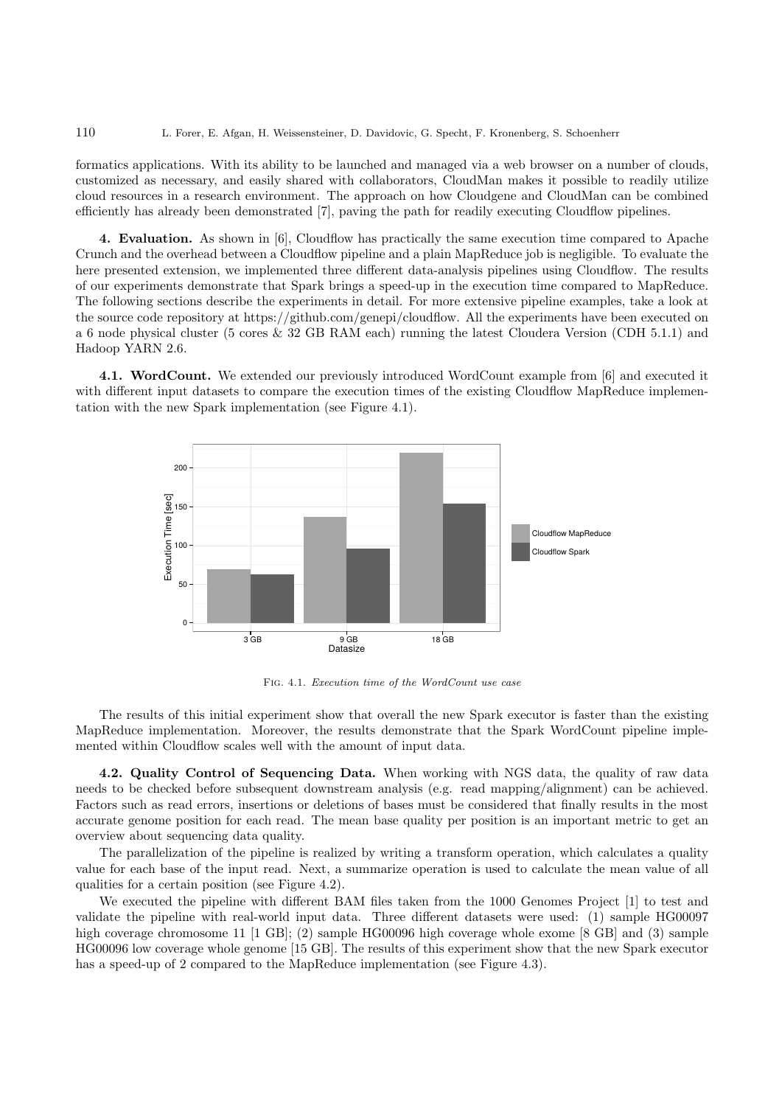formatics applications. With its ability to be launched and managed via a web browser on a number of clouds, customized as necessary, and easily shared with collaborators, CloudMan makes it possible to readily utilize cloud resources in a research environment. The approach on how Cloudgene and CloudMan can be combined efficiently has already been demonstrated [7], paving the path for readily executing Cloudflow pipelines.

4. Evaluation. As shown in [6], Cloudflow has practically the same execution time compared to Apache Crunch and the overhead between a Cloudflow pipeline and a plain MapReduce job is negligible. To evaluate the here presented extension, we implemented three different data-analysis pipelines using Cloudflow. The results of our experiments demonstrate that Spark brings a speed-up in the execution time compared to MapReduce. The following sections describe the experiments in detail. For more extensive pipeline examples, take a look at the source code repository at https://github.com/genepi/cloudflow. All the experiments have been executed on a 6 node physical cluster (5 cores & 32 GB RAM each) running the latest Cloudera Version (CDH 5.1.1) and Hadoop YARN 2.6.

4.1. WordCount. We extended our previously introduced WordCount example from [6] and executed it with different input datasets to compare the execution times of the existing Cloudflow MapReduce implementation with the new Spark implementation (see Figure 4.1).



Fig. 4.1. Execution time of the WordCount use case

The results of this initial experiment show that overall the new Spark executor is faster than the existing MapReduce implementation. Moreover, the results demonstrate that the Spark WordCount pipeline implemented within Cloudflow scales well with the amount of input data.

4.2. Quality Control of Sequencing Data. When working with NGS data, the quality of raw data needs to be checked before subsequent downstream analysis (e.g. read mapping/alignment) can be achieved. Factors such as read errors, insertions or deletions of bases must be considered that finally results in the most accurate genome position for each read. The mean base quality per position is an important metric to get an overview about sequencing data quality.

The parallelization of the pipeline is realized by writing a transform operation, which calculates a quality value for each base of the input read. Next, a summarize operation is used to calculate the mean value of all qualities for a certain position (see Figure 4.2).

We executed the pipeline with different BAM files taken from the 1000 Genomes Project [1] to test and validate the pipeline with real-world input data. Three different datasets were used: (1) sample HG00097 high coverage chromosome 11 [1 GB]; (2) sample HG00096 high coverage whole exome [8 GB] and (3) sample HG00096 low coverage whole genome [15 GB]. The results of this experiment show that the new Spark executor has a speed-up of 2 compared to the MapReduce implementation (see Figure 4.3).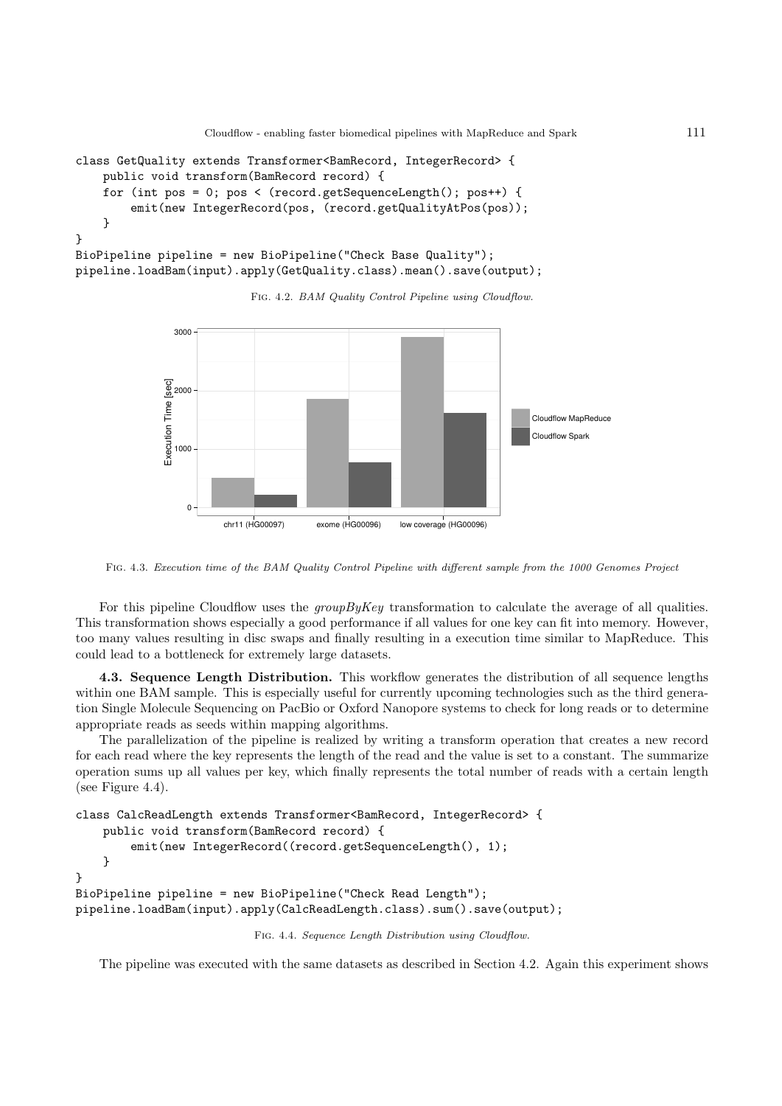Cloudflow - enabling faster biomedical pipelines with MapReduce and Spark 111

```
class GetQuality extends Transformer<BamRecord, IntegerRecord> {
    public void transform(BamRecord record) {
    for (int pos = 0; pos < (record.getSequenceLength(); pos++) {
        emit(new IntegerRecord(pos, (record.getQualityAtPos(pos));
    }
}
BioPipeline pipeline = new BioPipeline("Check Base Quality");
pipeline.loadBam(input).apply(GetQuality.class).mean().save(output);
```
FIG. 4.2. BAM Quality Control Pipeline using Cloudflow.



Fig. 4.3. Execution time of the BAM Quality Control Pipeline with different sample from the 1000 Genomes Project

For this pipeline Cloudflow uses the *groupByKey* transformation to calculate the average of all qualities. This transformation shows especially a good performance if all values for one key can fit into memory. However, too many values resulting in disc swaps and finally resulting in a execution time similar to MapReduce. This could lead to a bottleneck for extremely large datasets.

4.3. Sequence Length Distribution. This workflow generates the distribution of all sequence lengths within one BAM sample. This is especially useful for currently upcoming technologies such as the third generation Single Molecule Sequencing on PacBio or Oxford Nanopore systems to check for long reads or to determine appropriate reads as seeds within mapping algorithms.

The parallelization of the pipeline is realized by writing a transform operation that creates a new record for each read where the key represents the length of the read and the value is set to a constant. The summarize operation sums up all values per key, which finally represents the total number of reads with a certain length (see Figure 4.4).

```
class CalcReadLength extends Transformer<BamRecord, IntegerRecord> {
   public void transform(BamRecord record) {
        emit(new IntegerRecord((record.getSequenceLength(), 1);
    }
}
BioPipeline pipeline = new BioPipeline("Check Read Length");
pipeline.loadBam(input).apply(CalcReadLength.class).sum().save(output);
```
Fig. 4.4. Sequence Length Distribution using Cloudflow.

The pipeline was executed with the same datasets as described in Section 4.2. Again this experiment shows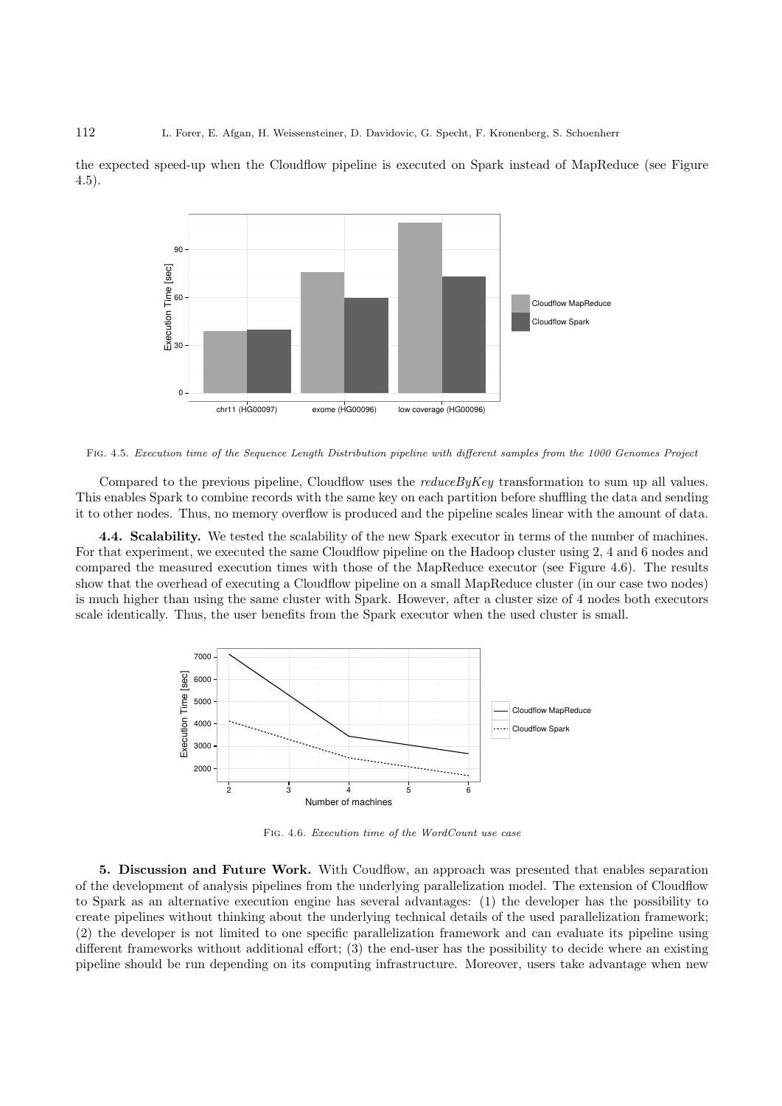the expected speed-up when the Cloudflow pipeline is executed on Spark instead of MapReduce (see Figure 4.5).



Fig. 4.5. Execution time of the Sequence Length Distribution pipeline with different samples from the 1000 Genomes Project

Compared to the previous pipeline, Cloudflow uses the *reduceByKey* transformation to sum up all values. This enables Spark to combine records with the same key on each partition before shuffling the data and sending it to other nodes. Thus, no memory overflow is produced and the pipeline scales linear with the amount of data.

4.4. Scalability. We tested the scalability of the new Spark executor in terms of the number of machines. For that experiment, we executed the same Cloudflow pipeline on the Hadoop cluster using 2, 4 and 6 nodes and compared the measured execution times with those of the MapReduce executor (see Figure 4.6). The results show that the overhead of executing a Cloudflow pipeline on a small MapReduce cluster (in our case two nodes) is much higher than using the same cluster with Spark. However, after a cluster size of 4 nodes both executors scale identically. Thus, the user benefits from the Spark executor when the used cluster is small.



Fig. 4.6. Execution time of the WordCount use case

5. Discussion and Future Work. With Coudflow, an approach was presented that enables separation of the development of analysis pipelines from the underlying parallelization model. The extension of Cloudflow to Spark as an alternative execution engine has several advantages: (1) the developer has the possibility to create pipelines without thinking about the underlying technical details of the used parallelization framework; (2) the developer is not limited to one specific parallelization framework and can evaluate its pipeline using different frameworks without additional effort; (3) the end-user has the possibility to decide where an existing pipeline should be run depending on its computing infrastructure. Moreover, users take advantage when new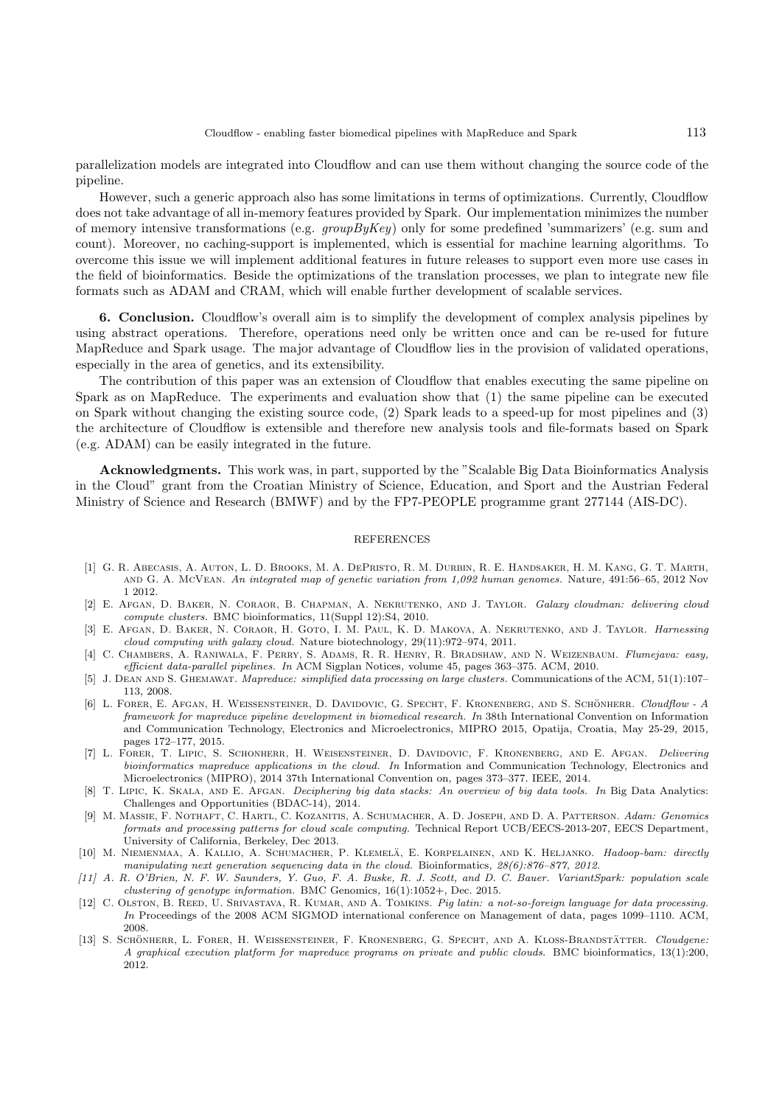parallelization models are integrated into Cloudflow and can use them without changing the source code of the pipeline.

However, such a generic approach also has some limitations in terms of optimizations. Currently, Cloudflow does not take advantage of all in-memory features provided by Spark. Our implementation minimizes the number of memory intensive transformations (e.g. *groupByKey*) only for some predefined 'summarizers' (e.g. sum and count). Moreover, no caching-support is implemented, which is essential for machine learning algorithms. To overcome this issue we will implement additional features in future releases to support even more use cases in the field of bioinformatics. Beside the optimizations of the translation processes, we plan to integrate new file formats such as ADAM and CRAM, which will enable further development of scalable services.

6. Conclusion. Cloudflow's overall aim is to simplify the development of complex analysis pipelines by using abstract operations. Therefore, operations need only be written once and can be re-used for future MapReduce and Spark usage. The major advantage of Cloudflow lies in the provision of validated operations, especially in the area of genetics, and its extensibility.

The contribution of this paper was an extension of Cloudflow that enables executing the same pipeline on Spark as on MapReduce. The experiments and evaluation show that (1) the same pipeline can be executed on Spark without changing the existing source code, (2) Spark leads to a speed-up for most pipelines and (3) the architecture of Cloudflow is extensible and therefore new analysis tools and file-formats based on Spark (e.g. ADAM) can be easily integrated in the future.

Acknowledgments. This work was, in part, supported by the "Scalable Big Data Bioinformatics Analysis in the Cloud" grant from the Croatian Ministry of Science, Education, and Sport and the Austrian Federal Ministry of Science and Research (BMWF) and by the FP7-PEOPLE programme grant 277144 (AIS-DC).

## REFERENCES

- [1] G. R. Abecasis, A. Auton, L. D. Brooks, M. A. DePristo, R. M. Durbin, R. E. Handsaker, H. M. Kang, G. T. Marth, and G. A. McVean. An integrated map of genetic variation from 1,092 human genomes. Nature, 491:56–65, 2012 Nov 1 2012.
- [2] E. Afgan, D. Baker, N. Coraor, B. Chapman, A. Nekrutenko, and J. Taylor. Galaxy cloudman: delivering cloud compute clusters. BMC bioinformatics, 11(Suppl 12):S4, 2010.
- [3] E. Afgan, D. Baker, N. Coraor, H. Goto, I. M. Paul, K. D. Makova, A. Nekrutenko, and J. Taylor. Harnessing cloud computing with galaxy cloud. Nature biotechnology, 29(11):972–974, 2011.
- [4] C. Chambers, A. Raniwala, F. Perry, S. Adams, R. R. Henry, R. Bradshaw, and N. Weizenbaum. Flumejava: easy, efficient data-parallel pipelines. In ACM Sigplan Notices, volume 45, pages 363–375. ACM, 2010.
- [5] J. DEAN AND S. GHEMAWAT. Mapreduce: simplified data processing on large clusters. Communications of the ACM, 51(1):107– 113, 2008.
- [6] L. FORER, E. AFGAN, H. WEISSENSTEINER, D. DAVIDOVIC, G. SPECHT, F. KRONENBERG, AND S. SCHÖNHERR. Cloudflow A framework for mapreduce pipeline development in biomedical research. In 38th International Convention on Information and Communication Technology, Electronics and Microelectronics, MIPRO 2015, Opatija, Croatia, May 25-29, 2015, pages 172–177, 2015.
- [7] L. Forer, T. Lipic, S. Schonherr, H. Weisensteiner, D. Davidovic, F. Kronenberg, and E. Afgan. Delivering bioinformatics mapreduce applications in the cloud. In Information and Communication Technology, Electronics and Microelectronics (MIPRO), 2014 37th International Convention on, pages 373–377. IEEE, 2014.
- [8] T. LIPIC, K. SKALA, AND E. AFGAN. Deciphering big data stacks: An overview of big data tools. In Big Data Analytics: Challenges and Opportunities (BDAC-14), 2014.
- [9] M. Massie, F. Nothaft, C. Hartl, C. Kozanitis, A. Schumacher, A. D. Joseph, and D. A. Patterson. Adam: Genomics formats and processing patterns for cloud scale computing. Technical Report UCB/EECS-2013-207, EECS Department, University of California, Berkeley, Dec 2013.
- [10] M. NIEMENMAA, A. KALLIO, A. SCHUMACHER, P. KLEMELÄ, E. KORPELAINEN, AND K. HELJANKO. Hadoop-bam: directly manipulating next generation sequencing data in the cloud. Bioinformatics,  $28(6)$ :876-877, 2012.
- [11] A. R. O'Brien, N. F. W. Saunders, Y. Guo, F. A. Buske, R. J. Scott, and D. C. Bauer. VariantSpark: population scale clustering of genotype information. BMC Genomics, 16(1):1052+, Dec. 2015.
- [12] C. OLSTON, B. REED, U. SRIVASTAVA, R. KUMAR, AND A. TOMKINS. Pig latin: a not-so-foreign language for data processing. In Proceedings of the 2008 ACM SIGMOD international conference on Management of data, pages 1099–1110. ACM, 2008.
- [13] S. SCHÖNHERR, L. FORER, H. WEISSENSTEINER, F. KRONENBERG, G. SPECHT, AND A. KLOSS-BRANDSTÄTTER. Cloudgene: A graphical execution platform for mapreduce programs on private and public clouds. BMC bioinformatics, 13(1):200, 2012.